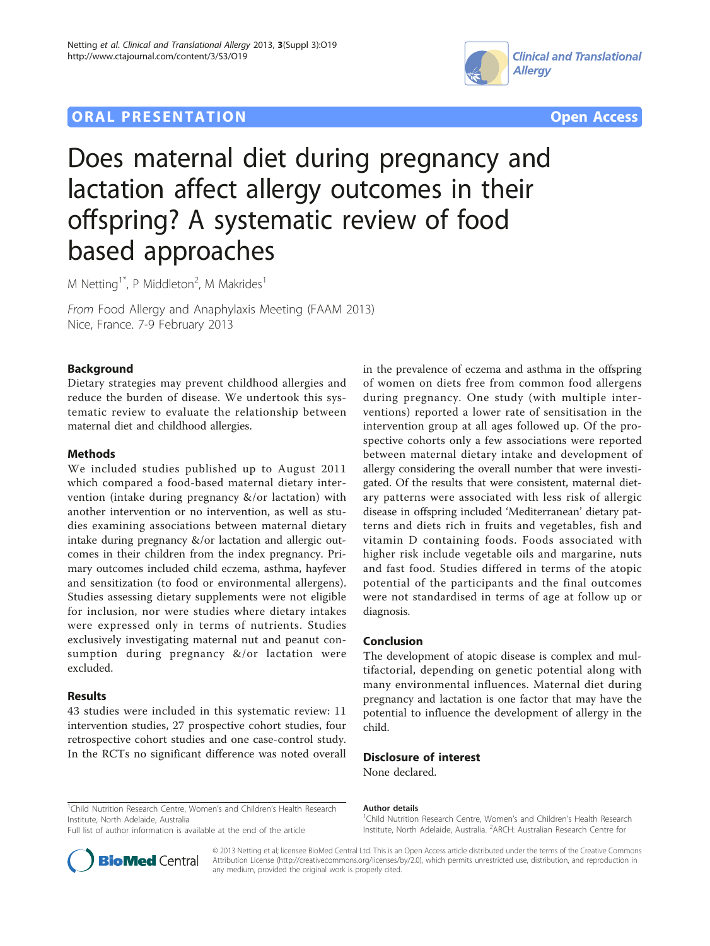## **ORAL PRESENTATION ORAL PRESENTATION**





# Does maternal diet during pregnancy and lactation affect allergy outcomes in their offspring? A systematic review of food based approaches

M Netting<sup>1\*</sup>, P Middleton<sup>2</sup>, M Makrides<sup>1</sup>

From Food Allergy and Anaphylaxis Meeting (FAAM 2013) Nice, France. 7-9 February 2013

## Background

Dietary strategies may prevent childhood allergies and reduce the burden of disease. We undertook this systematic review to evaluate the relationship between maternal diet and childhood allergies.

## Methods

We included studies published up to August 2011 which compared a food-based maternal dietary intervention (intake during pregnancy &/or lactation) with another intervention or no intervention, as well as studies examining associations between maternal dietary intake during pregnancy &/or lactation and allergic outcomes in their children from the index pregnancy. Primary outcomes included child eczema, asthma, hayfever and sensitization (to food or environmental allergens). Studies assessing dietary supplements were not eligible for inclusion, nor were studies where dietary intakes were expressed only in terms of nutrients. Studies exclusively investigating maternal nut and peanut consumption during pregnancy &/or lactation were excluded.

#### Results

43 studies were included in this systematic review: 11 intervention studies, 27 prospective cohort studies, four retrospective cohort studies and one case-control study. In the RCTs no significant difference was noted overall in the prevalence of eczema and asthma in the offspring of women on diets free from common food allergens during pregnancy. One study (with multiple interventions) reported a lower rate of sensitisation in the intervention group at all ages followed up. Of the prospective cohorts only a few associations were reported between maternal dietary intake and development of allergy considering the overall number that were investigated. Of the results that were consistent, maternal dietary patterns were associated with less risk of allergic disease in offspring included 'Mediterranean' dietary patterns and diets rich in fruits and vegetables, fish and vitamin D containing foods. Foods associated with higher risk include vegetable oils and margarine, nuts and fast food. Studies differed in terms of the atopic potential of the participants and the final outcomes were not standardised in terms of age at follow up or diagnosis.

#### Conclusion

The development of atopic disease is complex and multifactorial, depending on genetic potential along with many environmental influences. Maternal diet during pregnancy and lactation is one factor that may have the potential to influence the development of allergy in the child.

## Disclosure of interest

None declared.

<sup>1</sup>Child Nutrition Research Centre, Women's and Children's Health Research Institute, North Adelaide, Australia

Full list of author information is available at the end of the article

#### Author details

<sup>1</sup> Child Nutrition Research Centre, Women's and Children's Health Research Institute, North Adelaide, Australia. <sup>2</sup> ARCH: Australian Research Centre for



© 2013 Netting et al; licensee BioMed Central Ltd. This is an Open Access article distributed under the terms of the Creative Commons Attribution License [\(http://creativecommons.org/licenses/by/2.0](http://creativecommons.org/licenses/by/2.0)), which permits unrestricted use, distribution, and reproduction in any medium, provided the original work is properly cited.